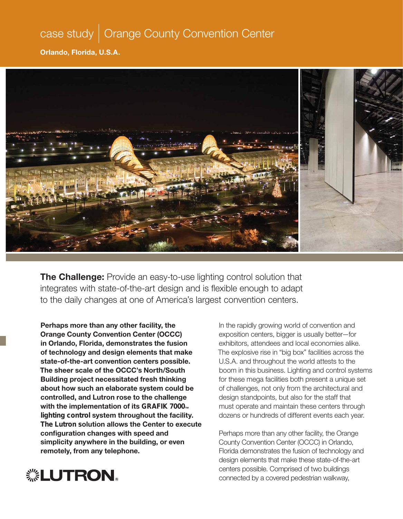## case study | Orange County Convention Center

**Orlando, Florida, U.S.A.**



**The Challenge:** Provide an easy-to-use lighting control solution that integrates with state-of-the-art design and is flexible enough to adapt to the daily changes at one of America's largest convention centers.

**Perhaps more than any other facility, the Orange County Convention Center (OCCC) in Orlando, Florida, demonstrates the fusion of technology and design elements that make state-of-the-art convention centers possible. The sheer scale of the OCCC's North/South Building project necessitated fresh thinking about how such an elaborate system could be controlled, and Lutron rose to the challenge with the implementation of its** GRAFIK 7000**™** lighting control **system throughout the facility.**  The Lutron s**olution allows the Center to execute confi guration changes with speed and simplicity anywhere in the building, or even remotely, from any telephone.**

In the rapidly growing world of convention and exposition centers, bigger is usually better—for exhibitors, attendees and local economies alike. The explosive rise in "big box" facilities across the U.S.A. and throughout the world attests to the boom in this business. Lighting and control systems for these mega facilities both present a unique set of challenges, not only from the architectural and design standpoints, but also for the staff that must operate and maintain these centers through dozens or hundreds of different events each year.

Perhaps more than any other facility, the Orange County Convention Center (OCCC) in Orlando, Florida demonstrates the fusion of technology and design elements that make these state-of-the-art centers possible. Comprised of two buildings connected by a covered pedestrian walkway,

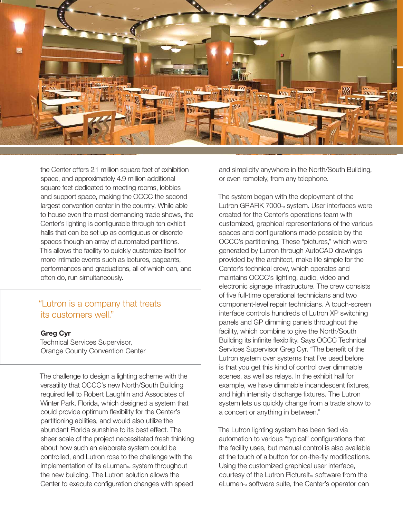

the Center offers 2.1 million square feet of exhibition space, and approximately 4.9 million additional square feet dedicated to meeting rooms, lobbies and support space, making the OCCC the second largest convention center in the country. While able to house even the most demanding trade shows, the Center's lighting is configurable through ten exhibit halls that can be set up as contiguous or discrete spaces though an array of automated partitions. This allows the facility to quickly customize itself for more intimate events such as lectures, pageants, performances and graduations, all of which can, and often do, run simultaneously.

### "Lutron is a company that treats its customers well."

#### **Greg Cyr**

Technical Services Supervisor, Orange County Convention Center

The challenge to design a lighting scheme with the versatility that OCCC's new North/South Building required fell to Robert Laughlin and Associates of Winter Park, Florida, which designed a system that could provide optimum flexibility for the Center's partitioning abilities, and would also utilize the abundant Florida sunshine to its best effect. The sheer scale of the project necessitated fresh thinking about how such an elaborate system could be controlled, and Lutron rose to the challenge with the implementation of its eLumen<sub>™</sub> system throughout the new building. The Lutron solution allows the Center to execute configuration changes with speed

and simplicity anywhere in the North/South Building, or even remotely, from any telephone.

The system began with the deployment of the Lutron GRAFIK 7000™ system. User interfaces were created for the Center's operations team with customized, graphical representations of the various spaces and configurations made possible by the OCCC's partitioning. These "pictures," which were generated by Lutron through AutoCAD drawings provided by the architect, make life simple for the Center's technical crew, which operates and maintains OCCC's lighting, audio, video and electronic signage infrastructure. The crew consists of five full-time operational technicians and two component-level repair technicians. A touch-screen interface controls hundreds of Lutron XP switching panels and GP dimming panels throughout the facility, which combine to give the North/South Building its infinite flexibility. Says OCCC Technical Services Supervisor Greg Cyr. "The benefit of the Lutron system over systems that I've used before is that you get this kind of control over dimmable scenes, as well as relays. In the exhibit hall for example, we have dimmable incandescent fixtures, and high intensity discharge fixtures. The Lutron system lets us quickly change from a trade show to a concert or anything in between."

The Lutron lighting system has been tied via automation to various "typical" configurations that the facility uses, but manual control is also available at the touch of a button for on-the-fly modifications. Using the customized graphical user interface, courtesy of the Lutron PictureIt™ software from the eLumen™ software suite, the Center's operator can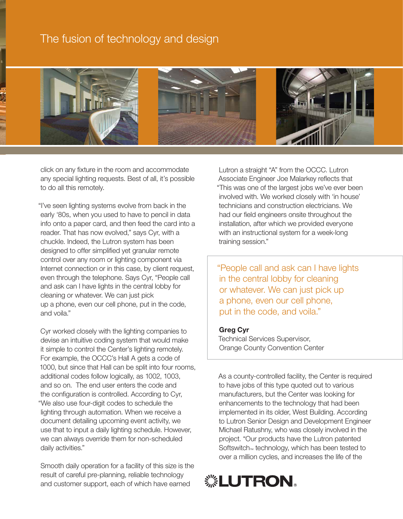### The fusion of technology and design



click on any fixture in the room and accommodate any special lighting requests. Best of all, it's possible to do all this remotely.

"I've seen lighting systems evolve from back in the early '80s, when you used to have to pencil in data info onto a paper card, and then feed the card into a reader. That has now evolved," says Cyr, with a chuckle. Indeed, the Lutron system has been designed to offer simplified yet granular remote control over any room or lighting component via Internet connection or in this case, by client request, even through the telephone. Says Cyr, "People call and ask can I have lights in the central lobby for cleaning or whatever. We can just pick up a phone, even our cell phone, put in the code, and voila."

Cyr worked closely with the lighting companies to devise an intuitive coding system that would make it simple to control the Center's lighting remotely. For example, the OCCC's Hall A gets a code of 1000, but since that Hall can be split into four rooms, additional codes follow logically, as 1002, 1003, and so on. The end user enters the code and the configuration is controlled. According to Cyr, "We also use four-digit codes to schedule the lighting through automation. When we receive a document detailing upcoming event activity, we use that to input a daily lighting schedule. However, we can always override them for non-scheduled daily activities."

Smooth daily operation for a facility of this size is the result of careful pre-planning, reliable technology and customer support, each of which have earned

Lutron a straight "A" from the OCCC. Lutron Associate Engineer Joe Malarkey reflects that "This was one of the largest jobs we've ever been involved with. We worked closely with 'in house' technicians and construction electricians. We had our field engineers onsite throughout the installation, after which we provided everyone with an instructional system for a week-long training session."

"People call and ask can I have lights in the central lobby for cleaning or whatever. We can just pick up a phone, even our cell phone, put in the code, and voila."

#### **Greg Cyr**

Technical Services Supervisor, Orange County Convention Center

As a county-controlled facility, the Center is required to have jobs of this type quoted out to various manufacturers, but the Center was looking for enhancements to the technology that had been implemented in its older, West Building. According to Lutron Senior Design and Development Engineer Michael Ratushny, who was closely involved in the project. "Our products have the Lutron patented Softswitch<sup>™</sup> technology, which has been tested to over a million cycles, and increases the life of the